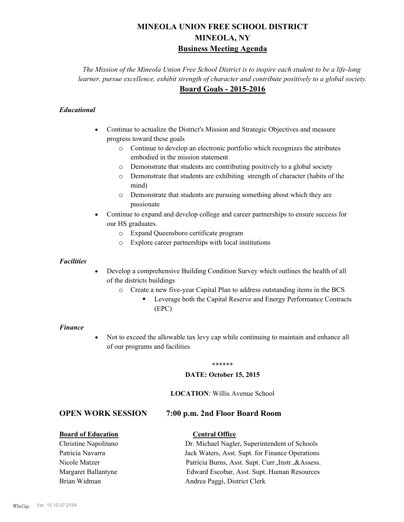# **MINEOLA UNION FREE SCHOOL DISTRICT MINEOLA, NY Business Meeting Agenda**

*The Mission of the Mineola Union Free School District is to inspire each student to be a life-long learner, pursue excellence, exhibit strength of character and contribute positively to a global society.* **Board Goals - 2015-2016**

## *Educational*

- · Continue to actualize the District's Mission and Strategic Objectives and measure progress toward these goals
	- o Continue to develop an electronic portfolio which recognizes the attributes embodied in the mission statement
	- o Demonstrate that students are contributing positively to a global society
	- o Demonstrate that students are exhibiting strength of character (habits of the mind)
	- o Demonstrate that students are pursuing something about which they are passionate
- Continue to expand and develop college and career partnerships to ensure success for our HS graduates.
	- o Expand Queensboro certificate program
	- o Explore career partnerships with local institutions

#### *Facilities*

- Develop a comprehensive Building Condition Survey which outlines the health of all of the districts buildings
	- o Create a new five-year Capital Plan to address outstanding items in the BCS
		- § Leverage both the Capital Reserve and Energy Performance Contracts (EPC)

#### *Finance*

• Not to exceed the allowable tax levy cap while continuing to maintain and enhance all of our programs and facilities

#### \*\*\*\*\*\*

#### **DATE: October 15, 2015**

### **LOCATION**: Willis Avenue School

# **OPEN WORK SESSION 7:00 p.m. 2nd Floor Board Room**

### **Board of Education Central Office**

Christine Napolitano Dr. Michael Nagler, Superintendent of Schools Patricia Navarra Jack Waters, Asst. Supt. for Finance Operations Nicole Matzer Patricia Burns, Asst. Supt. Curr.,Instr.,&Assess. Margaret Ballantyne Edward Escobar, Asst. Supt. Human Resources Brian Widman **Andrea Paggi, District Clerk**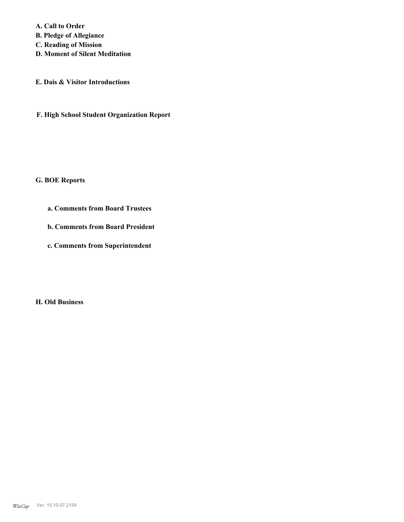**A. Call to Order** 

**B. Pledge of Allegiance**

**C. Reading of Mission**

**D. Moment of Silent Meditation**

**E. Dais & Visitor Introductions**

**F. High School Student Organization Report**

#### **G. BOE Reports**

- **a. Comments from Board Trustees**
- **b. Comments from Board President**
- **c. Comments from Superintendent**

**H. Old Business**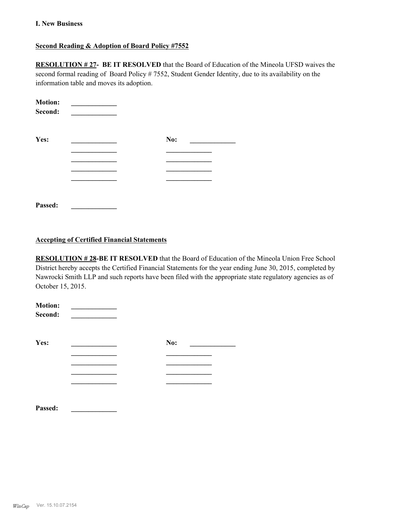#### **I. New Business**

## **Second Reading & Adoption of Board Policy #7552**

**RESOLUTION # 27- BE IT RESOLVED** that the Board of Education of the Mineola UFSD waives the second formal reading of Board Policy # 7552, Student Gender Identity, due to its availability on the information table and moves its adoption.

| <b>Motion:</b><br>Second: |     |  |
|---------------------------|-----|--|
| Yes:                      | No: |  |
|                           |     |  |
|                           |     |  |
|                           |     |  |
|                           |     |  |
| Passed:                   |     |  |

#### **Accepting of Certified Financial Statements**

**RESOLUTION # 28-BE IT RESOLVED** that the Board of Education of the Mineola Union Free School District hereby accepts the Certified Financial Statements for the year ending June 30, 2015, completed by Nawrocki Smith LLP and such reports have been filed with the appropriate state regulatory agencies as of October 15, 2015.

| <b>Motion:</b><br>Second: |     |
|---------------------------|-----|
| Yes:                      | No: |
|                           |     |
|                           |     |
|                           |     |
|                           |     |
| Passed:                   |     |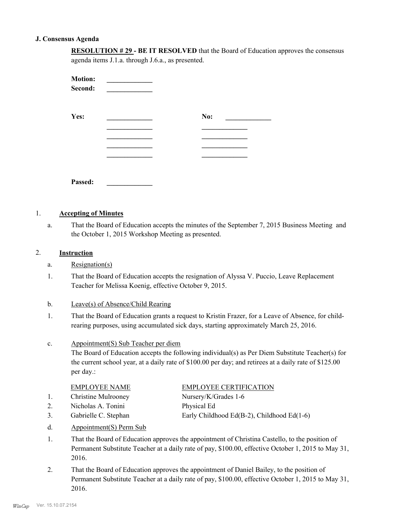#### **J. Consensus Agenda**

| <b>RESOLUTION #29 - BE IT RESOLVED</b> that the Board of Education approves the consensus |
|-------------------------------------------------------------------------------------------|
| agenda items J.1.a. through J.6.a., as presented.                                         |

| <b>Motion:</b><br>Second: |     |
|---------------------------|-----|
| Yes:                      | No: |
|                           |     |
|                           |     |
|                           |     |
|                           |     |
|                           |     |
| Passed:                   |     |

#### 1. **Accepting of Minutes**

That the Board of Education accepts the minutes of the September 7, 2015 Business Meeting and the October 1, 2015 Workshop Meeting as presented. a.

#### 2. **Instruction**

- a. Resignation(s)
- That the Board of Education accepts the resignation of Alyssa V. Puccio, Leave Replacement Teacher for Melissa Koenig, effective October 9, 2015. 1.
- b. Leave(s) of Absence/Child Rearing
- That the Board of Education grants a request to Kristin Frazer, for a Leave of Absence, for childrearing purposes, using accumulated sick days, starting approximately March 25, 2016. 1.

#### Appointment(S) Sub Teacher per diem c.

The Board of Education accepts the following individual(s) as Per Diem Substitute Teacher(s) for the current school year, at a daily rate of \$100.00 per day; and retirees at a daily rate of \$125.00 per day.:

| <b>EMPLOYEE NAME</b>        | <b>EMPLOYEE CERTIFICATION</b> |
|-----------------------------|-------------------------------|
| <b>Christine Mulrooney</b>  | Nursery/K/Grades 1-6          |
| _ _ _ _ _ _ _ _ _ _ _ _ _ _ |                               |

- 2. Nicholas A. Tonini Physical Ed
- 3. Gabrielle C. Stephan Early Childhood Ed(B-2), Childhood Ed(1-6)
- d. Appointment(S) Perm Sub
- That the Board of Education approves the appointment of Christina Castello, to the position of Permanent Substitute Teacher at a daily rate of pay, \$100.00, effective October 1, 2015 to May 31, 2016. 1.
- That the Board of Education approves the appointment of Daniel Bailey, to the position of Permanent Substitute Teacher at a daily rate of pay, \$100.00, effective October 1, 2015 to May 31, 2016. 2.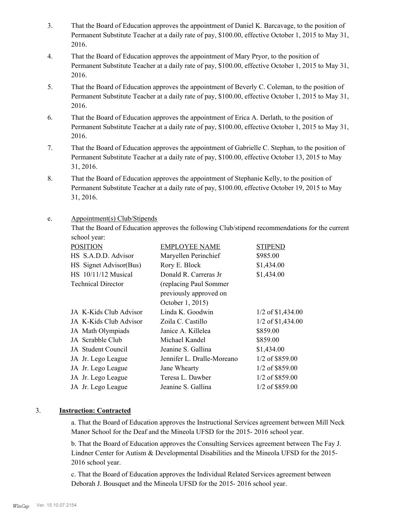- That the Board of Education approves the appointment of Daniel K. Barcavage, to the position of Permanent Substitute Teacher at a daily rate of pay, \$100.00, effective October 1, 2015 to May 31, 2016. 3.
- That the Board of Education approves the appointment of Mary Pryor, to the position of Permanent Substitute Teacher at a daily rate of pay, \$100.00, effective October 1, 2015 to May 31, 2016. 4.
- That the Board of Education approves the appointment of Beverly C. Coleman, to the position of Permanent Substitute Teacher at a daily rate of pay, \$100.00, effective October 1, 2015 to May 31, 2016. 5.
- That the Board of Education approves the appointment of Erica A. Derlath, to the position of Permanent Substitute Teacher at a daily rate of pay, \$100.00, effective October 1, 2015 to May 31, 2016. 6.
- That the Board of Education approves the appointment of Gabrielle C. Stephan, to the position of Permanent Substitute Teacher at a daily rate of pay, \$100.00, effective October 13, 2015 to May 31, 2016. 7.
- That the Board of Education approves the appointment of Stephanie Kelly, to the position of Permanent Substitute Teacher at a daily rate of pay, \$100.00, effective October 19, 2015 to May 31, 2016. 8.

#### Appointment(s) Club/Stipends e.

That the Board of Education approves the following Club/stipend recommendations for the current school year:

| <b>POSITION</b>           | <b>EMPLOYEE NAME</b>       | <b>STIPEND</b>      |  |  |
|---------------------------|----------------------------|---------------------|--|--|
| HS S.A.D.D. Advisor       | Maryellen Perinchief       | \$985.00            |  |  |
| HS Signet Advisor(Bus)    | Rory E. Block              | \$1,434.00          |  |  |
| HS 10/11/12 Musical       | Donald R. Carreras Jr      | \$1,434.00          |  |  |
| <b>Technical Director</b> | (replacing Paul Sommer     |                     |  |  |
|                           | previously approved on     |                     |  |  |
|                           | October 1, 2015)           |                     |  |  |
| JA K-Kids Club Advisor    | Linda K. Goodwin           | $1/2$ of \$1,434.00 |  |  |
| JA K-Kids Club Advisor    | Zoila C. Castillo          | $1/2$ of \$1,434.00 |  |  |
| JA Math Olympiads         | Janice A. Killelea         | \$859.00            |  |  |
| JA Scrabble Club          | Michael Kandel             | \$859.00            |  |  |
| JA Student Council        | Jeanine S. Gallina         | \$1,434.00          |  |  |
| JA Jr. Lego League        | Jennifer L. Dralle-Moreano | 1/2 of \$859.00     |  |  |
| JA Jr. Lego League        | Jane Whearty               | 1/2 of \$859.00     |  |  |
| JA Jr. Lego League        | Teresa L. Dawber           | $1/2$ of \$859.00   |  |  |
| JA Jr. Lego League        | Jeanine S. Gallina         | 1/2 of \$859.00     |  |  |

### 3. **Instruction: Contracted**

a. That the Board of Education approves the Instructional Services agreement between Mill Neck Manor School for the Deaf and the Mineola UFSD for the 2015- 2016 school year.

b. That the Board of Education approves the Consulting Services agreement between The Fay J. Lindner Center for Autism & Developmental Disabilities and the Mineola UFSD for the 2015- 2016 school year.

c. That the Board of Education approves the Individual Related Services agreement between Deborah J. Bousquet and the Mineola UFSD for the 2015- 2016 school year.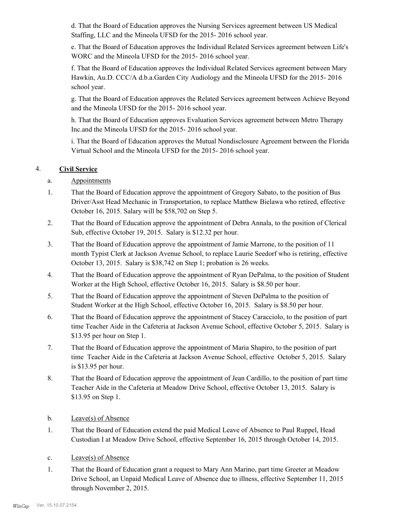d. That the Board of Education approves the Nursing Services agreement between US Medical Staffing, LLC and the Mineola UFSD for the 2015- 2016 school year.

e. That the Board of Education approves the Individual Related Services agreement between Life's WORC and the Mineola UFSD for the 2015- 2016 school year.

f. That the Board of Education approves the Individual Related Services agreement between Mary Hawkin, Au.D. CCC/A d.b.a.Garden City Audiology and the Mineola UFSD for the 2015- 2016 school year.

g. That the Board of Education approves the Related Services agreement between Achieve Beyond and the Mineola UFSD for the 2015- 2016 school year.

h. That the Board of Education approves Evaluation Services agreement between Metro Therapy Inc.and the Mineola UFSD for the 2015- 2016 school year.

i. That the Board of Education approves the Mutual Nondisclosure Agreement between the Florida Virtual School and the Mineola UFSD for the 2015- 2016 school year.

# 4. **Civil Service**

- a. Appointments
- That the Board of Education approve the appointment of Gregory Sabato, to the position of Bus Driver/Asst Head Mechanic in Transportation, to replace Matthew Bielawa who retired, effective October 16, 2015. Salary will be \$58,702 on Step 5. 1.
- That the Board of Education approve the appointment of Debra Annala, to the position of Clerical Sub, effective October 19, 2015. Salary is \$12.32 per hour. 2.
- That the Board of Education approve the appointment of Jamie Marrone, to the position of 11 month Typist Clerk at Jackson Avenue School, to replace Laurie Seedorf who is retiring, effective October 13, 2015. Salary is \$38,742 on Step 1; probation is 26 weeks. 3.
- That the Board of Education approve the appointment of Ryan DePalma, to the position of Student Worker at the High School, effective October 16, 2015. Salary is \$8.50 per hour. 4.
- That the Board of Education approve the appointment of Steven DePalma to the position of Student Worker at the High School, effective October 16, 2015. Salary is \$8.50 per hour. 5.
- That the Board of Education approve the appointment of Stacey Caracciolo, to the position of part time Teacher Aide in the Cafeteria at Jackson Avenue School, effective October 5, 2015. Salary is \$13.95 per hour on Step 1. 6.
- That the Board of Education approve the appointment of Maria Shapiro, to the position of part time Teacher Aide in the Cafeteria at Jackson Avenue School, effective October 5, 2015. Salary is \$13.95 per hour. 7.
- That the Board of Education approve the appointment of Jean Cardillo, to the position of part time Teacher Aide in the Cafeteria at Meadow Drive School, effective October 13, 2015. Salary is \$13.95 on Step 1. 8.
- b. Leave(s) of Absence
- That the Board of Education extend the paid Medical Leave of Absence to Paul Ruppel, Head Custodian I at Meadow Drive School, effective September 16, 2015 through October 14, 2015. 1.
- c. Leave(s) of Absence
- That the Board of Education grant a request to Mary Ann Marino, part time Greeter at Meadow Drive School, an Unpaid Medical Leave of Absence due to illness, effective September 11, 2015 through November 2, 2015. 1.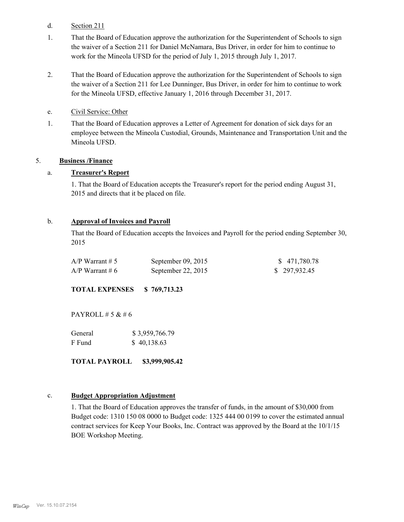- d. Section 211
- That the Board of Education approve the authorization for the Superintendent of Schools to sign the waiver of a Section 211 for Daniel McNamara, Bus Driver, in order for him to continue to work for the Mineola UFSD for the period of July 1, 2015 through July 1, 2017. 1.
- That the Board of Education approve the authorization for the Superintendent of Schools to sign the waiver of a Section 211 for Lee Dunninger, Bus Driver, in order for him to continue to work for the Mineola UFSD, effective January 1, 2016 through December 31, 2017. 2.
- e. Civil Service: Other
- That the Board of Education approves a Letter of Agreement for donation of sick days for an employee between the Mineola Custodial, Grounds, Maintenance and Transportation Unit and the Mineola UFSD. 1.

#### 5. **Business /Finance**

#### a. **Treasurer's Report**

1. That the Board of Education accepts the Treasurer's report for the period ending August 31, 2015 and directs that it be placed on file.

#### b. **Approval of Invoices and Payroll**

That the Board of Education accepts the Invoices and Payroll for the period ending September 30, 2015

| $A/P$ Warrant # 5 | September $09, 2015$ | \$471,780.78 |
|-------------------|----------------------|--------------|
| $A/P$ Warrant # 6 | September 22, $2015$ | \$297,932.45 |

**TOTAL EXPENSES \$ 769,713.23**

PAYROLL  $# 5 & 46$ 

| General | \$3,959,766.79 |
|---------|----------------|
| F Fund  | \$40,138.63    |

**TOTAL PAYROLL \$3,999,905.42**

#### c. **Budget Appropriation Adjustment**

1. That the Board of Education approves the transfer of funds, in the amount of \$30,000 from Budget code: 1310 150 08 0000 to Budget code: 1325 444 00 0199 to cover the estimated annual contract services for Keep Your Books, Inc. Contract was approved by the Board at the 10/1/15 BOE Workshop Meeting.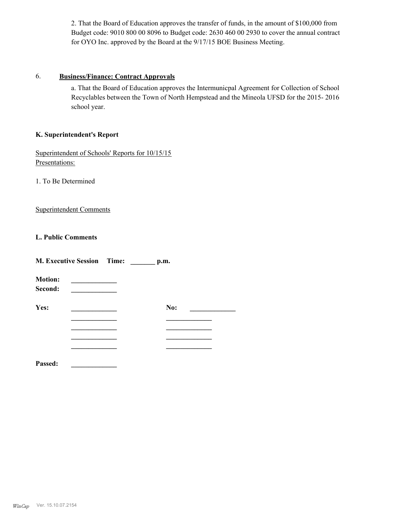2. That the Board of Education approves the transfer of funds, in the amount of \$100,000 from Budget code: 9010 800 00 8096 to Budget code: 2630 460 00 2930 to cover the annual contract for OYO Inc. approved by the Board at the 9/17/15 BOE Business Meeting.

#### 6. **Business/Finance: Contract Approvals**

a. That the Board of Education approves the Intermunicpal Agreement for Collection of School Recyclables between the Town of North Hempstead and the Mineola UFSD for the 2015- 2016 school year.

#### **K. Superintendent's Report**

Superintendent of Schools' Reports for 10/15/15 Presentations:

1. To Be Determined

Superintendent Comments

### **L. Public Comments**

|                           | <b>M. Executive Session Time:</b> | p.m. |  |
|---------------------------|-----------------------------------|------|--|
| <b>Motion:</b><br>Second: |                                   |      |  |
| Yes:                      |                                   | No:  |  |
|                           |                                   |      |  |
|                           |                                   |      |  |
|                           |                                   |      |  |
| Passed:                   |                                   |      |  |